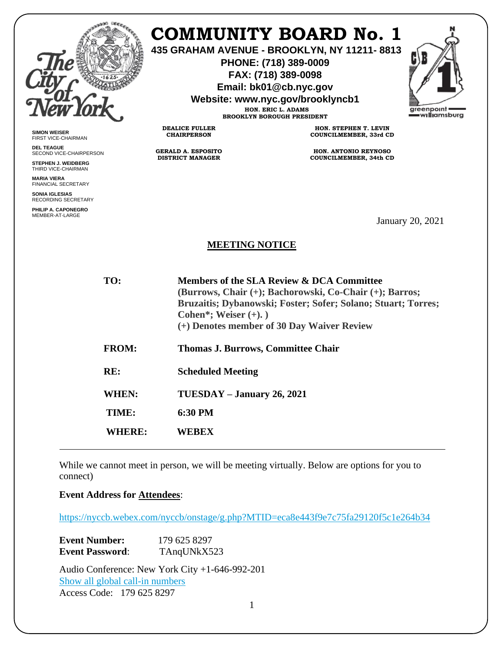

**SIMON WEISER** FIRST VICE-CHAIRMAN **DEL TEAGUE**

SECOND VICE-CHAIRPERSON **STEPHEN J. WEIDBERG** THIRD VICE-CHAIRMAN **MARIA VIERA** FINANCIAL SECRETARY **SONIA IGLESIAS** RECORDING SECRETARY **PHILIP A. CAPONEGRO** MEMBER-AT-LARGE

# **COMMUNITY BOARD No. 1**

**435 GRAHAM AVENUE - BROOKLYN, NY 11211- 8813**

**PHONE: (718) 389-0009 FAX: (718) 389-0098**

**Email: bk01@cb.nyc.gov**

**Website: www.nyc.gov/brooklyncb1**

**HON. ERIC L. ADAMS BROOKLYN BOROUGH PRESIDENT**

**DEALICE FULLER CHAIRPERSON**

**GERALD A. ESPOSITO DISTRICT MANAGER**

**HON. STEPHEN T. LEVIN COUNCILMEMBER, 33rd CD**

**HON. ANTONIO REYNOSO COUNCILMEMBER, 34th CD**

January 20, 2021

### **MEETING NOTICE**

| TO:          | Members of the SLA Review & DCA Committee<br>(Burrows, Chair (+); Bachorowski, Co-Chair (+); Barros;<br>Bruzaitis; Dybanowski; Foster; Sofer; Solano; Stuart; Torres;<br>Cohen*; Weiser $(+)$ .)<br>(+) Denotes member of 30 Day Waiver Review |
|--------------|------------------------------------------------------------------------------------------------------------------------------------------------------------------------------------------------------------------------------------------------|
| <b>FROM:</b> | <b>Thomas J. Burrows, Committee Chair</b>                                                                                                                                                                                                      |
| RE:          | <b>Scheduled Meeting</b>                                                                                                                                                                                                                       |
| WHEN:        | $TUESDAY - January 26, 2021$                                                                                                                                                                                                                   |
| TIME:        | $6:30 \text{ PM}$                                                                                                                                                                                                                              |
| WHERE:       | WEREX                                                                                                                                                                                                                                          |
|              |                                                                                                                                                                                                                                                |

While we cannot meet in person, we will be meeting virtually. Below are options for you to connect)

**[Event Address for Attendees](https://nyccb.webex.com/nyccb/onstage/g.php?MTID=eca8e443f9e7c75fa29120f5c1e264b34)**:

<https://nyccb.webex.com/nyccb/onstage/g.php?MTID=eca8e443f9e7c75fa29120f5c1e264b34>

| <b>Event Number:</b>   | 179 625 8297 |
|------------------------|--------------|
| <b>Event Password:</b> | TAngUNkX523  |

Audio Conference: New York City +1-646-992-201 [Show all global call-in numbers](https://nyccb.webex.com/cmp3300/webcomponents/widget/globalcallin/globalcallin.do?siteurl=nyccb&serviceType=EC&eventID=1101180212&tollFree=0) Access Code: 179 625 8297

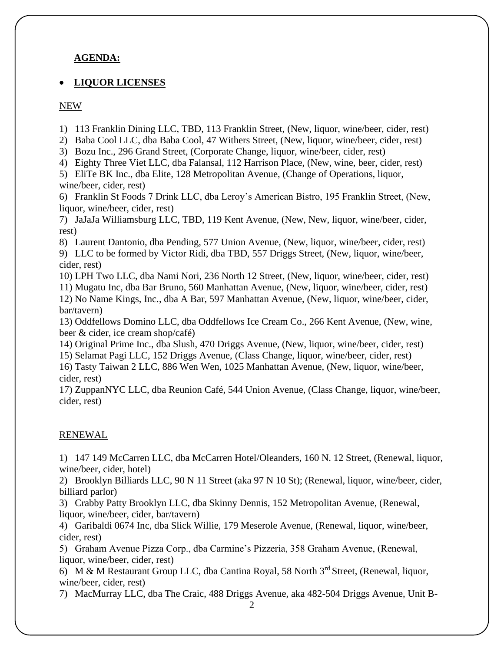### **AGENDA:**

#### • **LIQUOR LICENSES**

#### NEW

1) 113 Franklin Dining LLC, TBD, 113 Franklin Street, (New, liquor, wine/beer, cider, rest)

2) Baba Cool LLC, dba Baba Cool, 47 Withers Street, (New, liquor, wine/beer, cider, rest)

3) Bozu Inc., 296 Grand Street, (Corporate Change, liquor, wine/beer, cider, rest)

4) Eighty Three Viet LLC, dba Falansal, 112 Harrison Place, (New, wine, beer, cider, rest)

5) EliTe BK Inc., dba Elite, 128 Metropolitan Avenue, (Change of Operations, liquor, wine/beer, cider, rest)

6) Franklin St Foods 7 Drink LLC, dba Leroy's American Bistro, 195 Franklin Street, (New, liquor, wine/beer, cider, rest)

7) JaJaJa Williamsburg LLC, TBD, 119 Kent Avenue, (New, New, liquor, wine/beer, cider, rest)

8) Laurent Dantonio, dba Pending, 577 Union Avenue, (New, liquor, wine/beer, cider, rest)

9) LLC to be formed by Victor Ridi, dba TBD, 557 Driggs Street, (New, liquor, wine/beer, cider, rest)

10) LPH Two LLC, dba Nami Nori, 236 North 12 Street, (New, liquor, wine/beer, cider, rest)

11) Mugatu Inc, dba Bar Bruno, 560 Manhattan Avenue, (New, liquor, wine/beer, cider, rest) 12) No Name Kings, Inc., dba A Bar, 597 Manhattan Avenue, (New, liquor, wine/beer, cider, bar/tavern)

13) Oddfellows Domino LLC, dba Oddfellows Ice Cream Co., 266 Kent Avenue, (New, wine, beer & cider, ice cream shop/café)

14) Original Prime Inc., dba Slush, 470 Driggs Avenue, (New, liquor, wine/beer, cider, rest) 15) Selamat Pagi LLC, 152 Driggs Avenue, (Class Change, liquor, wine/beer, cider, rest) 16) Tasty Taiwan 2 LLC, 886 Wen Wen, 1025 Manhattan Avenue, (New, liquor, wine/beer,

cider, rest)

17) ZuppanNYC LLC, dba Reunion Café, 544 Union Avenue, (Class Change, liquor, wine/beer, cider, rest)

## RENEWAL

1) 147 149 McCarren LLC, dba McCarren Hotel/Oleanders, 160 N. 12 Street, (Renewal, liquor, wine/beer, cider, hotel)

2) Brooklyn Billiards LLC, 90 N 11 Street (aka 97 N 10 St); (Renewal, liquor, wine/beer, cider, billiard parlor)

3) Crabby Patty Brooklyn LLC, dba Skinny Dennis, 152 Metropolitan Avenue, (Renewal, liquor, wine/beer, cider, bar/tavern)

4) Garibaldi 0674 Inc, dba Slick Willie, 179 Meserole Avenue, (Renewal, liquor, wine/beer, cider, rest)

5) Graham Avenue Pizza Corp., dba Carmine's Pizzeria, 358 Graham Avenue, (Renewal, liquor, wine/beer, cider, rest)

6) M & M Restaurant Group LLC, dba Cantina Royal, 58 North 3rd Street, (Renewal, liquor, wine/beer, cider, rest)

7) MacMurray LLC, dba The Craic, 488 Driggs Avenue, aka 482-504 Driggs Avenue, Unit B-